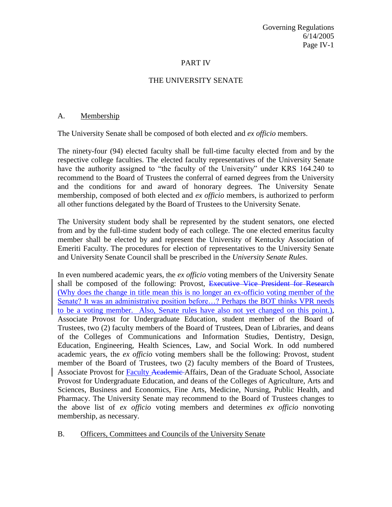## PART IV

## THE UNIVERSITY SENATE

## A. Membership

The University Senate shall be composed of both elected and *ex officio* members.

The ninety-four (94) elected faculty shall be full-time faculty elected from and by the respective college faculties. The elected faculty representatives of the University Senate have the authority assigned to "the faculty of the University" under KRS 164.240 to recommend to the Board of Trustees the conferral of earned degrees from the University and the conditions for and award of honorary degrees. The University Senate membership, composed of both elected and *ex officio* members, is authorized to perform all other functions delegated by the Board of Trustees to the University Senate.

The University student body shall be represented by the student senators, one elected from and by the full-time student body of each college. The one elected emeritus faculty member shall be elected by and represent the University of Kentucky Association of Emeriti Faculty. The procedures for election of representatives to the University Senate and University Senate Council shall be prescribed in the *University Senate Rules*.

In even numbered academic years, the *ex officio* voting members of the University Senate shall be composed of the following: Provost, Executive Vice President for Research (Why does the change in title mean this is no longer an ex-officio voting member of the Senate? It was an administrative position before...? Perhaps the BOT thinks VPR needs to be a voting member. Also, Senate rules have also not yet changed on this point.), Associate Provost for Undergraduate Education, student member of the Board of Trustees, two (2) faculty members of the Board of Trustees, Dean of Libraries, and deans of the Colleges of Communications and Information Studies, Dentistry, Design, Education, Engineering, Health Sciences, Law, and Social Work. In odd numbered academic years, the *ex officio* voting members shall be the following: Provost, student member of the Board of Trustees, two (2) faculty members of the Board of Trustees, Associate Provost for Faculty Academic Affairs, Dean of the Graduate School, Associate Provost for Undergraduate Education, and deans of the Colleges of Agriculture, Arts and Sciences, Business and Economics, Fine Arts, Medicine, Nursing, Public Health, and Pharmacy. The University Senate may recommend to the Board of Trustees changes to the above list of *ex officio* voting members and determines *ex officio* nonvoting membership, as necessary.

## B. Officers, Committees and Councils of the University Senate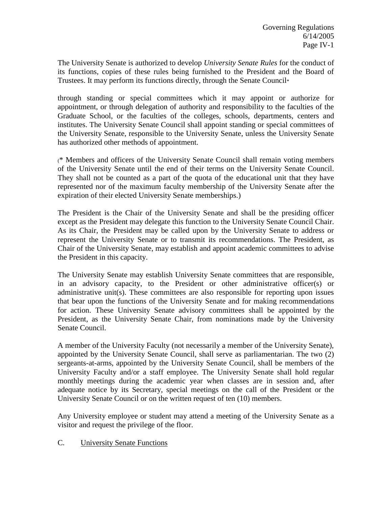The University Senate is authorized to develop *University Senate Rules* for the conduct of its functions, copies of these rules being furnished to the President and the Board of Trustees. It may perform its functions directly, through the Senate Council\*

through standing or special committees which it may appoint or authorize for appointment, or through delegation of authority and responsibility to the faculties of the Graduate School, or the faculties of the colleges, schools, departments, centers and institutes. The University Senate Council shall appoint standing or special committees of the University Senate, responsible to the University Senate, unless the University Senate has authorized other methods of appointment.

(\* Members and officers of the University Senate Council shall remain voting members of the University Senate until the end of their terms on the University Senate Council. They shall not be counted as a part of the quota of the educational unit that they have represented nor of the maximum faculty membership of the University Senate after the expiration of their elected University Senate memberships.)

The President is the Chair of the University Senate and shall be the presiding officer except as the President may delegate this function to the University Senate Council Chair. As its Chair, the President may be called upon by the University Senate to address or represent the University Senate or to transmit its recommendations. The President, as Chair of the University Senate, may establish and appoint academic committees to advise the President in this capacity.

The University Senate may establish University Senate committees that are responsible, in an advisory capacity, to the President or other administrative officer(s) or administrative unit(s). These committees are also responsible for reporting upon issues that bear upon the functions of the University Senate and for making recommendations for action. These University Senate advisory committees shall be appointed by the President, as the University Senate Chair, from nominations made by the University Senate Council.

A member of the University Faculty (not necessarily a member of the University Senate), appointed by the University Senate Council, shall serve as parliamentarian. The two (2) sergeants-at-arms, appointed by the University Senate Council, shall be members of the University Faculty and/or a staff employee. The University Senate shall hold regular monthly meetings during the academic year when classes are in session and, after adequate notice by its Secretary, special meetings on the call of the President or the University Senate Council or on the written request of ten (10) members.

Any University employee or student may attend a meeting of the University Senate as a visitor and request the privilege of the floor.

C. University Senate Functions